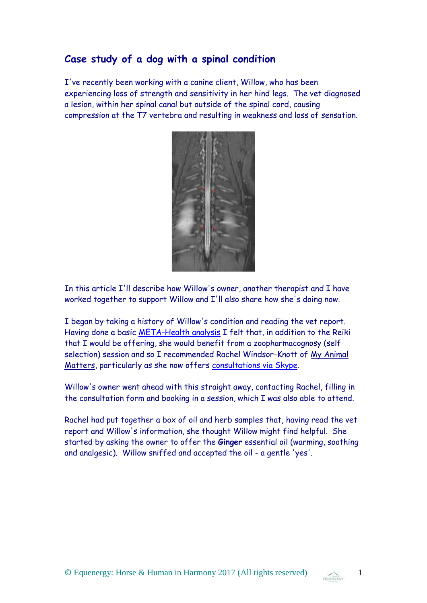## **Case study of a dog with a spinal condition**

I've recently been working with a canine client, Willow, who has been experiencing loss of strength and sensitivity in her hind legs. The vet diagnosed a lesion, within her spinal canal but outside of the spinal cord, causing compression at the T7 vertebra and resulting in weakness and loss of sensation.



In this article I'll describe how Willow's owner, another therapist and I have worked together to support Willow and I'll also share how she's doing now.

I began by taking a history of Willow's condition and reading the vet report. Having done a basic [META-Health analysis](https://equenergy.wordpress.com/2017/05/13/what-is-meta-health-and-how-can-it-help-me-get-well-part-1/) I felt that, in addition to the Reiki that I would be offering, she would benefit from a zoopharmacognosy (self selection) session and so I recommended Rachel Windsor-Knott of [My Animal](http://www.myanimalmatters.co.uk/)  [Matters,](http://www.myanimalmatters.co.uk/) particularly as she now offers [consultations via Skype.](http://www.myanimalmatters.co.uk/product/skype-consultation/)

Willow's owner went ahead with this straight away, contacting Rachel, filling in the consultation form and booking in a session, which I was also able to attend.

Rachel had put together a box of oil and herb samples that, having read the vet report and Willow's information, she thought Willow might find helpful. She started by asking the owner to offer the **Ginger** essential oil (warming, soothing and analgesic). Willow sniffed and accepted the oil - a gentle 'yes'.

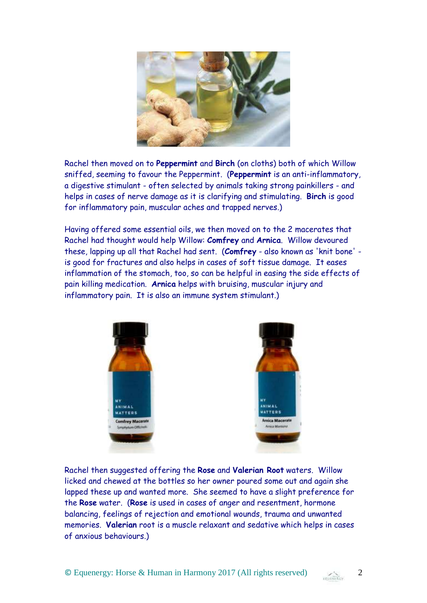

Rachel then moved on to **Peppermint** and **Birch** (on cloths) both of which Willow sniffed, seeming to favour the Peppermint. (**Peppermint** is an anti-inflammatory, a digestive stimulant - often selected by animals taking strong painkillers - and helps in cases of nerve damage as it is clarifying and stimulating. **Birch** is good for inflammatory pain, muscular aches and trapped nerves.)

Having offered some essential oils, we then moved on to the 2 macerates that Rachel had thought would help Willow: **Comfrey** and **Arnica**. Willow devoured these, lapping up all that Rachel had sent. (**Comfrey** - also known as 'knit bone' is good for fractures and also helps in cases of soft tissue damage. It eases inflammation of the stomach, too, so can be helpful in easing the side effects of pain killing medication. **Arnica** helps with bruising, muscular injury and inflammatory pain. It is also an immune system stimulant.)



Rachel then suggested offering the **Rose** and **Valerian Root** waters. Willow licked and chewed at the bottles so her owner poured some out and again she lapped these up and wanted more. She seemed to have a slight preference for the **Rose** water. (**Rose** is used in cases of anger and resentment, hormone balancing, feelings of rejection and emotional wounds, trauma and unwanted memories. **Valerian** root is a muscle relaxant and sedative which helps in cases of anxious behaviours.)

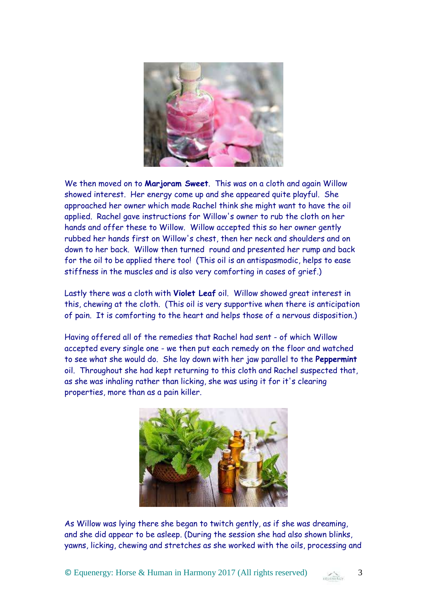

We then moved on to **Marjoram Sweet**. This was on a cloth and again Willow showed interest. Her energy come up and she appeared quite playful. She approached her owner which made Rachel think she might want to have the oil applied. Rachel gave instructions for Willow's owner to rub the cloth on her hands and offer these to Willow. Willow accepted this so her owner gently rubbed her hands first on Willow's chest, then her neck and shoulders and on down to her back. Willow then turned round and presented her rump and back for the oil to be applied there too! (This oil is an antispasmodic, helps to ease stiffness in the muscles and is also very comforting in cases of grief.)

Lastly there was a cloth with **Violet Leaf** oil. Willow showed great interest in this, chewing at the cloth. (This oil is very supportive when there is anticipation of pain. It is comforting to the heart and helps those of a nervous disposition.)

Having offered all of the remedies that Rachel had sent - of which Willow accepted every single one - we then put each remedy on the floor and watched to see what she would do. She lay down with her jaw parallel to the **Peppermint** oil. Throughout she had kept returning to this cloth and Rachel suspected that, as she was inhaling rather than licking, she was using it for it's clearing properties, more than as a pain killer.



As Willow was lying there she began to twitch gently, as if she was dreaming, and she did appear to be asleep. (During the session she had also shown blinks, yawns, licking, chewing and stretches as she worked with the oils, processing and

© Equenergy: Horse & Human in Harmony 2017 (All rights reserved) 3

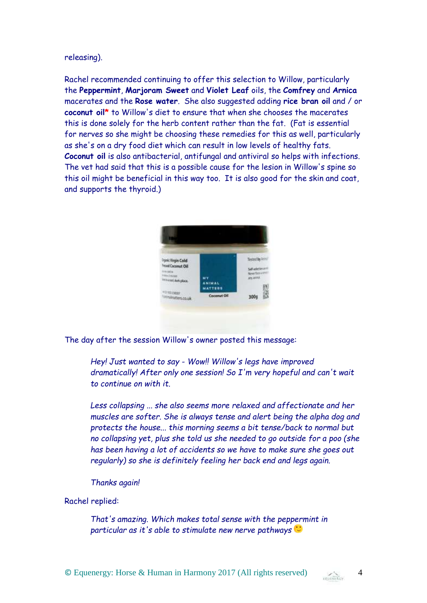## releasing).

Rachel recommended continuing to offer this selection to Willow, particularly the **Peppermint**, **Marjoram Sweet** and **Violet Leaf** oils, the **Comfrey** and **Arnica** macerates and the **Rose water**. She also suggested adding **rice bran oil** and / or **coconut oil\*** to Willow's diet to ensure that when she chooses the macerates this is done solely for the herb content rather than the fat. (Fat is essential for nerves so she might be choosing these remedies for this as well, particularly as she's on a dry food diet which can result in low levels of healthy fats. **Coconut oil** is also antibacterial, antifungal and antiviral so helps with infections. The vet had said that this is a possible cause for the lesion in Willow's spine so this oil might be beneficial in this way too. It is also good for the skin and coat, and supports the thyroid.)

|                                              |                                 | Tested by Jan                                 |
|----------------------------------------------|---------------------------------|-----------------------------------------------|
| Irunic Virgin Cold<br><b>HIM Coconut Oil</b> |                                 |                                               |
| <b>Literature</b>                            |                                 | Salf-aslection on<br><b>Mouse!</b> Room in NI |
| Historian.<br>teraturi dan place.            | <b>MY</b>                       | <b>ETV STOLE</b>                              |
|                                              | <b>ANIMAL</b><br><b>MATTERS</b> |                                               |
| ● 三天口主婦施足<br>invitatiers.co.uk               | Coconut Oil                     | 300g                                          |

The day after the session Willow's owner posted this message:

*Hey! Just wanted to say - Wow!! Willow's legs have improved dramatically! After only one session! So I'm very hopeful and can't wait to continue on with it.* 

*Less collapsing ... she also seems more relaxed and affectionate and her muscles are softer. She is always tense and alert being the alpha dog and protects the house... this morning seems a bit tense/back to normal but no collapsing yet, plus she told us she needed to go outside for a poo (she has been having a lot of accidents so we have to make sure she goes out regularly) so she is definitely feeling her back end and legs again.*

*Thanks again!*

Rachel replied:

*That's amazing. Which makes total sense with the peppermint in particular as it's able to stimulate new nerve pathways*

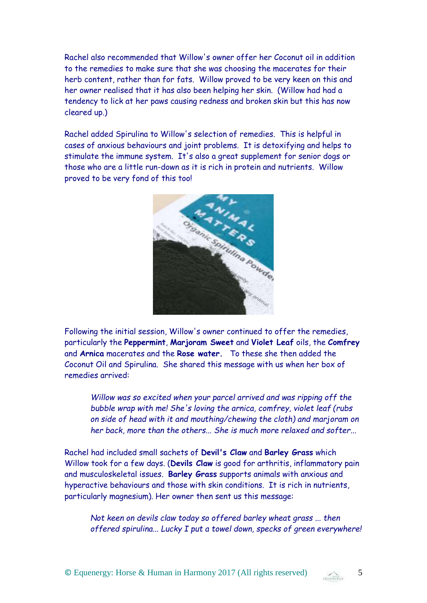Rachel also recommended that Willow's owner offer her Coconut oil in addition to the remedies to make sure that she was choosing the macerates for their herb content, rather than for fats. Willow proved to be very keen on this and her owner realised that it has also been helping her skin. (Willow had had a tendency to lick at her paws causing redness and broken skin but this has now cleared up.)

Rachel added Spirulina to Willow's selection of remedies. This is helpful in cases of anxious behaviours and joint problems. It is detoxifying and helps to stimulate the immune system. It's also a great supplement for senior dogs or those who are a little run-down as it is rich in protein and nutrients. Willow proved to be very fond of this too!



Following the initial session, Willow's owner continued to offer the remedies, particularly the **Peppermint**, **Marjoram Sweet** and **Violet Leaf** oils, the **Comfrey** and **Arnica** macerates and the **Rose water.** To these she then added the Coconut Oil and Spirulina. She shared this message with us when her box of remedies arrived:

*Willow was so excited when your parcel arrived and was ripping off the bubble wrap with me! She's loving the arnica, comfrey, violet leaf (rubs on side of head with it and mouthing/chewing the cloth) and marjoram on her back, more than the others... She is much more relaxed and softer...*

Rachel had included small sachets of **Devil's Claw** and **Barley Grass** which Willow took for a few days. (**Devils Claw** is good for arthritis, inflammatory pain and musculoskeletal issues. **Barley Grass** supports animals with anxious and hyperactive behaviours and those with skin conditions. It is rich in nutrients, particularly magnesium). Her owner then sent us this message:

*Not keen on devils claw today so offered barley wheat grass ... then offered spirulina... Lucky I put a towel down, specks of green everywhere!* 

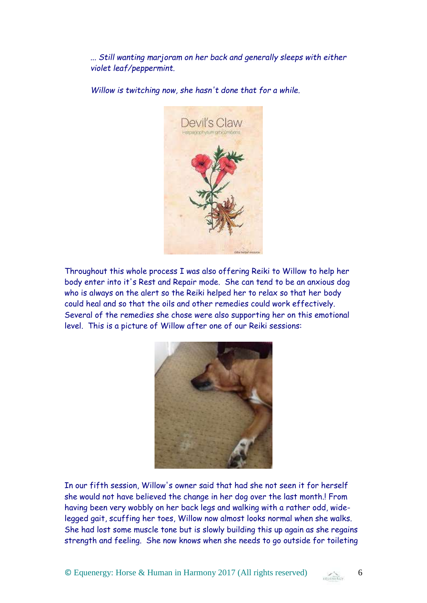*... Still wanting marjoram on her back and generally sleeps with either violet leaf/peppermint.* 

*Willow is twitching now, she hasn't done that for a while.*



Throughout this whole process I was also offering Reiki to Willow to help her body enter into it's Rest and Repair mode. She can tend to be an anxious dog who is always on the alert so the Reiki helped her to relax so that her body could heal and so that the oils and other remedies could work effectively. Several of the remedies she chose were also supporting her on this emotional level. This is a picture of Willow after one of our Reiki sessions:



In our fifth session, Willow's owner said that had she not seen it for herself she would not have believed the change in her dog over the last month.! From having been very wobbly on her back legs and walking with a rather odd, widelegged gait, scuffing her toes, Willow now almost looks normal when she walks. She had lost some muscle tone but is slowly building this up again as she regains strength and feeling. She now knows when she needs to go outside for toileting